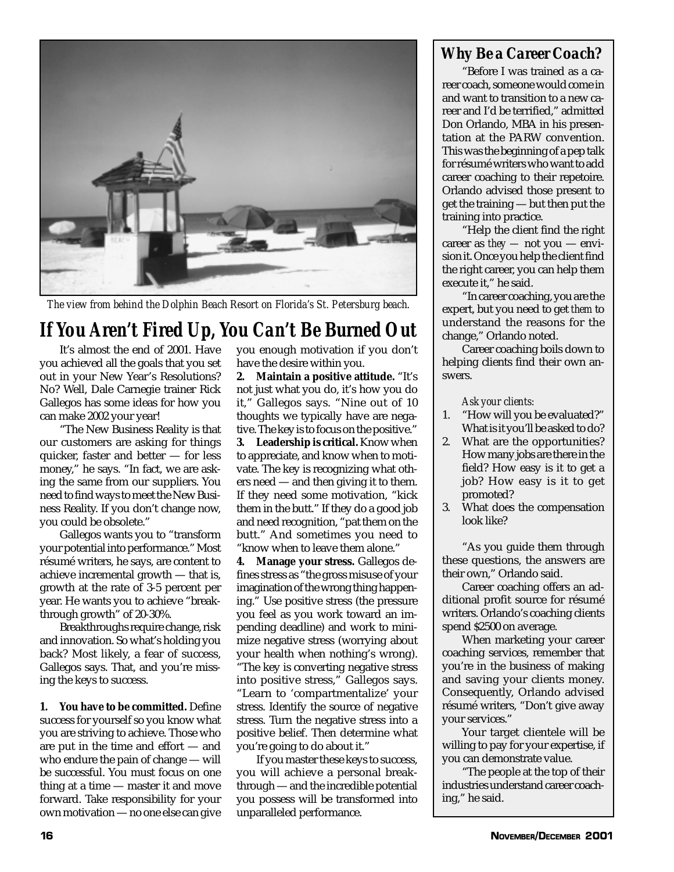

*The view from behind the Dolphin Beach Resort on Florida's St. Petersburg beach.*

## *If You Aren't Fired Up, You Can't Be Burned Out*

It's almost the end of 2001. Have you achieved all the goals that you set out in your New Year's Resolutions? No? Well, Dale Carnegie trainer Rick Gallegos has some ideas for how you can make 2002 your year!

"The New Business Reality is that our customers are asking for things quicker, faster and better — for less money," he says. "In fact, we are asking the same from our suppliers. You need to find ways to meet the New Business Reality. If you don't change now, you could be obsolete."

Gallegos wants you to "transform your potential into performance." Most résumé writers, he says, are content to achieve incremental growth — that is, growth at the rate of 3-5 percent per year. He wants you to achieve "breakthrough growth" of 20-30%.

Breakthroughs require change, risk and innovation. So what's holding you back? Most likely, a fear of success, Gallegos says. That, and you're missing the keys to success.

**1. You have to be committed.** Define success for yourself so you know what you are striving to achieve. Those who are put in the time and effort — and who endure the pain of change — will be successful. You must focus on one thing at a time — master it and move forward. Take responsibility for your own motivation — no one else can give you enough motivation if you don't have the desire within you.

**2. Maintain a positive attitude.** "It's not just what you do, it's how you do it," Gallegos says. "Nine out of 10 thoughts we typically have are negative. The key is to focus on the positive."

**3. Leadership is critical.** Know when to appreciate, and know when to motivate. The key is recognizing what others need — and then giving it to them. If they need some motivation, "kick them in the butt." If they do a good job and need recognition, "pat them on the butt." And sometimes you need to "know when to leave them alone."

**4. Manage your stress.** Gallegos defines stress as "the gross misuse of your imagination of the wrong thing happening." Use positive stress (the pressure you feel as you work toward an impending deadline) and work to minimize negative stress (worrying about your health when nothing's wrong). "The key is converting negative stress into positive stress," Gallegos says. "Learn to 'compartmentalize' your stress. Identify the source of negative stress. Turn the negative stress into a positive belief. Then determine what you're going to do about it."

If you master these keys to success, you will achieve a personal breakthrough — and the incredible potential you possess will be transformed into unparalleled performance.

## *Why Be a Career Coach?*

"Before I was trained as a career coach, someone would come in and want to transition to a new career and I'd be terrified," admitted Don Orlando, MBA in his presentation at the PARW convention. This was the beginning of a pep talk for résumé writers who want to add career coaching to their repetoire. Orlando advised those present to get the training — but then put the training into practice.

"Help the client find the right career as *they —* not you — envision it. Once you help the client find the right career, you can help them execute it," he said.

"In career coaching, you are the expert, but you need to get *them* to understand the reasons for the change," Orlando noted.

Career coaching boils down to helping clients find their own answers.

*Ask your clients:*

- 1. "How will you be evaluated?" What is it you'll be asked to do?
- 2. What are the opportunities? How many jobs are there in the field? How easy is it to get a job? How easy is it to get promoted?
- 3. What does the compensation look like?

"As you guide them through these questions, the answers are their own," Orlando said.

Career coaching offers an additional profit source for résumé writers. Orlando's coaching clients spend \$2500 on average.

When marketing your career coaching services, remember that you're in the business of making and saving your clients money. Consequently, Orlando advised résumé writers, "Don't give away your services."

Your target clientele will be willing to pay for your expertise, if you can demonstrate value.

"The people at the top of their industries understand career coaching," he said.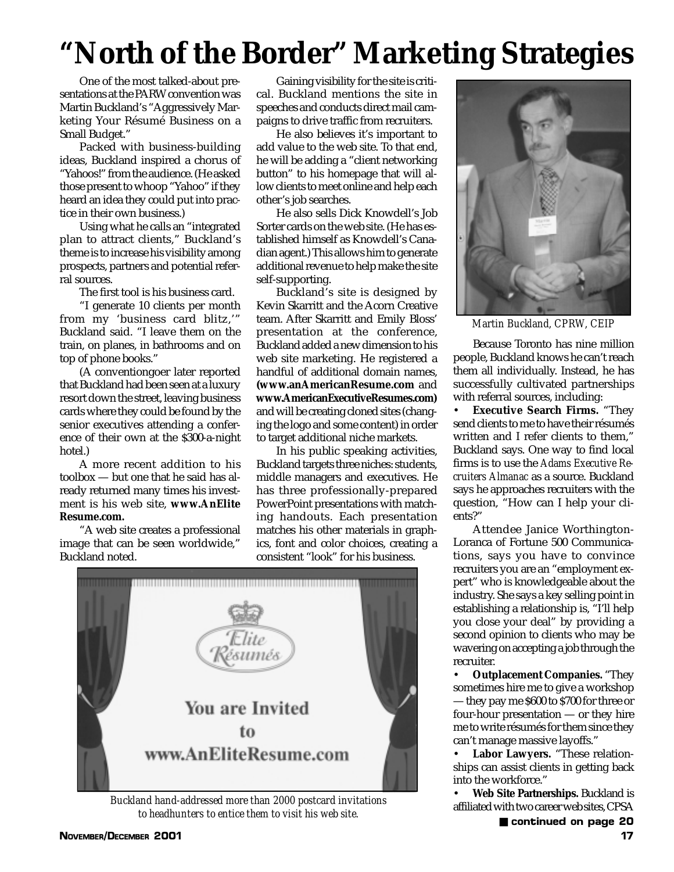## **"North of the Border" Marketing Strategies**

One of the most talked-about presentations at the PARW convention was Martin Buckland's "Aggressively Marketing Your Résumé Business on a Small Budget."

Packed with business-building ideas, Buckland inspired a chorus of "Yahoos!" from the audience. (He asked those present to whoop "Yahoo" if they heard an idea they could put into practice in their own business.)

Using what he calls an "integrated plan to attract clients," Buckland's theme is to increase his visibility among prospects, partners and potential referral sources.

The first tool is his business card.

"I generate 10 clients per month from my 'business card blitz,'" Buckland said. "I leave them on the train, on planes, in bathrooms and on top of phone books."

(A conventiongoer later reported that Buckland had been seen at a luxury resort down the street, leaving business cards where they could be found by the senior executives attending a conference of their own at the \$300-a-night hotel.)

A more recent addition to his toolbox — but one that he said has already returned many times his investment is his web site, **www.AnElite Resume.com.**

"A web site creates a professional image that can be seen worldwide," Buckland noted.

Gaining visibility for the site is critical. Buckland mentions the site in speeches and conducts direct mail campaigns to drive traffic from recruiters.

He also believes it's important to add value to the web site. To that end, he will be adding a "client networking button" to his homepage that will allow clients to meet online and help each other's job searches.

He also sells Dick Knowdell's Job Sorter cards on the web site. (He has established himself as Knowdell's Canadian agent.) This allows him to generate additional revenue to help make the site self-supporting.

Buckland's site is designed by Kevin Skarritt and the Acorn Creative team. After Skarritt and Emily Bloss' presentation at the conference, Buckland added a new dimension to his web site marketing. He registered a handful of additional domain names, **(www.anAmericanResume.com** and **www.AmericanExecutiveResumes.com)** and will be creating cloned sites (changing the logo and some content) in order to target additional niche markets.

In his public speaking activities, Buckland targets three niches: students, middle managers and executives. He has three professionally-prepared PowerPoint presentations with matching handouts. Each presentation matches his other materials in graphics, font and color choices, creating a consistent "look" for his business.



*Buckland hand-addressed more than 2000 postcard invitations* to headhunters to entice them to visit his web site. ■<br>**annumed whenever web sites, cf 5A** 



*Martin Buckland, CPRW, CEIP*

Because Toronto has nine million people, Buckland knows he can't reach them all individually. Instead, he has successfully cultivated partnerships with referral sources, including:

• **Executive Search Firms.** "They send clients to me to have their résumés written and I refer clients to them," Buckland says. One way to find local firms is to use the *Adams Executive Recruiters Almanac* as a source. Buckland says he approaches recruiters with the question, "How can I help your clients?"

Attendee Janice Worthington-Loranca of Fortune 500 Communications, says you have to convince recruiters you are an "employment expert" who is knowledgeable about the industry. She says a key selling point in establishing a relationship is, "I'll help you close your deal" by providing a second opinion to clients who may be wavering on accepting a job through the recruiter.

• **Outplacement Companies.** "They sometimes hire me to give a workshop — they pay me \$600 to \$700 for three or four-hour presentation — or they hire me to write résumés for them since they can't manage massive layoffs."

• **Labor Lawyers.** "These relationships can assist clients in getting back into the workforce."

• **Web Site Partnerships.** Buckland is affiliated with two career web sites, CPSA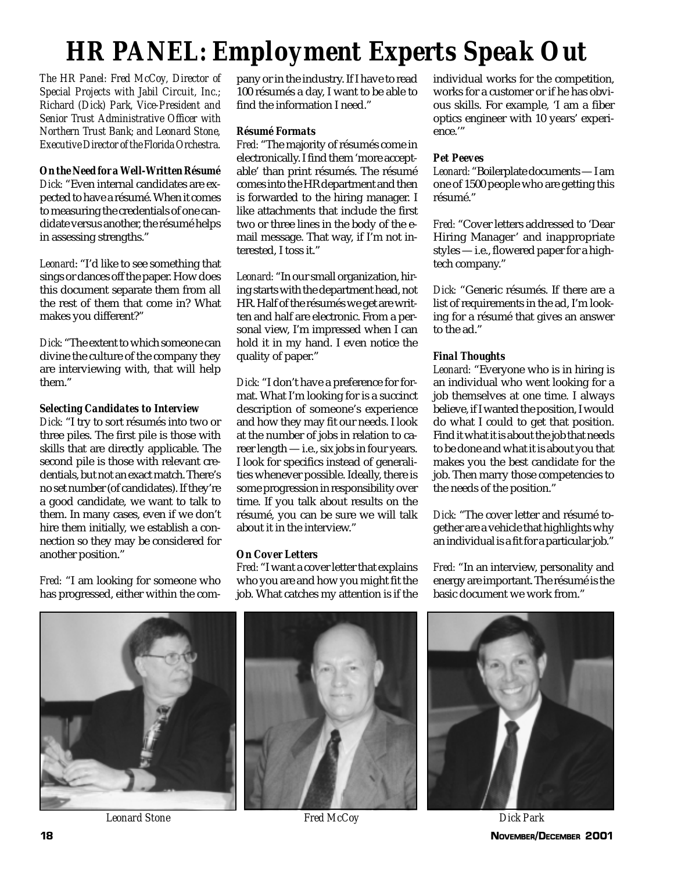## *HR PANEL: Employment Experts Speak Out*

*The HR Panel: Fred McCoy, Director of Special Projects with Jabil Circuit, Inc.; Richard (Dick) Park, Vice-President and Senior Trust Administrative Officer with Northern Trust Bank; and Leonard Stone, Executive Director of the Florida Orchestra.*

#### *On the Need for a Well-Written Résumé*

*Dick:* "Even internal candidates are expected to have a résumé. When it comes to measuring the credentials of one candidate versus another, the résumé helps in assessing strengths."

*Leonard*: "I'd like to see something that sings or dances off the paper. How does this document separate them from all the rest of them that come in? What makes you different?"

*Dick:* "The extent to which someone can divine the culture of the company they are interviewing with, that will help them."

### *Selecting Candidates to Interview*

*Dick:* "I try to sort résumés into two or three piles. The first pile is those with skills that are directly applicable. The second pile is those with relevant credentials, but not an exact match. There's no set number (of candidates). If they're a good candidate, we want to talk to them. In many cases, even if we don't hire them initially, we establish a connection so they may be considered for another position."

*Fred:* "I am looking for someone who has progressed, either within the com-

pany or in the industry. If I have to read 100 résumés a day, I want to be able to find the information I need."

### *Résumé Formats*

*Fred:* "The majority of résumés come in electronically. I find them 'more acceptable' than print résumés. The résumé comes into the HR department and then is forwarded to the hiring manager. I like attachments that include the first two or three lines in the body of the email message. That way, if I'm not interested, I toss it."

*Leonard:* "In our small organization, hiring starts with the department head, not HR. Half of the résumés we get are written and half are electronic. From a personal view, I'm impressed when I can hold it in my hand. I even notice the quality of paper."

*Dick:* "I don't have a preference for format. What I'm looking for is a succinct description of someone's experience and how they may fit our needs. I look at the number of jobs in relation to career length — i.e., six jobs in four years. I look for specifics instead of generalities whenever possible. Ideally, there is some progression in responsibility over time. If you talk about results on the résumé, you can be sure we will talk about it in the interview."

### *On Cover Letters*

*Fred:* "I want a cover letter that explains who you are and how you might fit the job. What catches my attention is if the

individual works for the competition, works for a customer or if he has obvious skills. For example, 'I am a fiber optics engineer with 10 years' experience.'"

### *Pet Peeves*

*Leonard:* "Boilerplate documents — I am one of 1500 people who are getting this résumé."

*Fred:* "Cover letters addressed to 'Dear Hiring Manager' and inappropriate styles — i.e., flowered paper for a hightech company."

*Dick:* "Generic résumés. If there are a list of requirements in the ad, I'm looking for a résumé that gives an answer to the ad."

### *Final Thoughts*

*Leonard:* "Everyone who is in hiring is an individual who went looking for a job themselves at one time. I always believe, if I wanted the position, I would do what I could to get that position. Find it what it is about the job that needs to be done and what it is about you that makes you the best candidate for the job. Then marry those competencies to the needs of the position."

*Dick:* "The cover letter and résumé together are a vehicle that highlights why an individual is a fit for a particular job."

*Fred:* "In an interview, personality and energy are important. The résumé is the basic document we work from."



**18 NOVEMBER/DECEMBER 2001**



*Leonard Stone Fred McCoy Dick Park*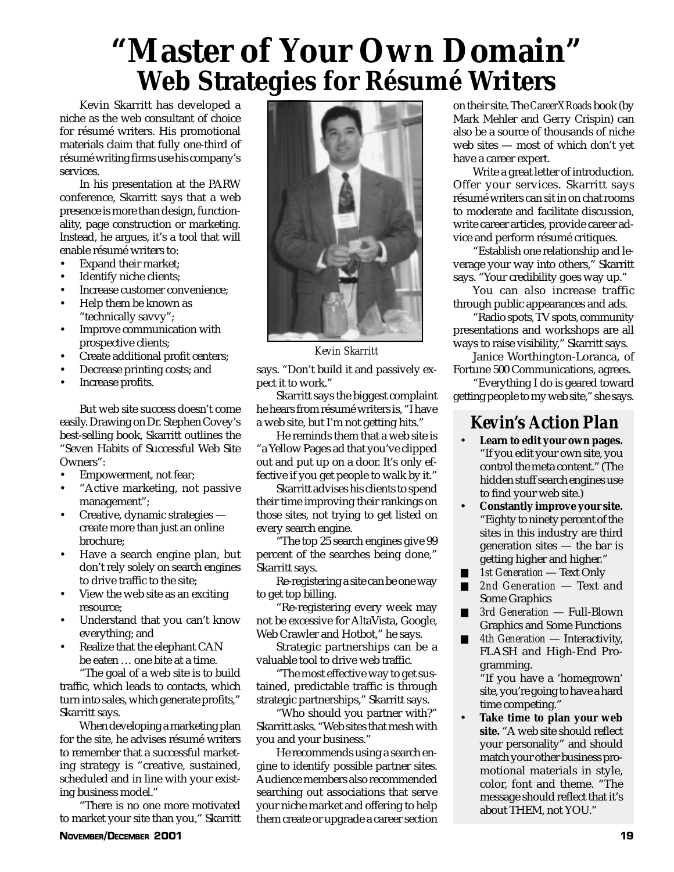## **"Master of Your Own Domain" Web Strategies for Résumé Writers**

Kevin Skarritt has developed a niche as the web consultant of choice for résumé writers. His promotional materials claim that fully one-third of résumé writing firms use his company's services.

In his presentation at the PARW conference, Skarritt says that a web presence is more than design, functionality, page construction or marketing. Instead, he argues, it's a tool that will enable résumé writers to:

- Expand their market;
- Identify niche clients;
- Increase customer convenience;
- Help them be known as "technically savvy";
- Improve communication with prospective clients;
- Create additional profit centers;
- Decrease printing costs; and
- Increase profits.

But web site success doesn't come easily. Drawing on Dr. Stephen Covey's best-selling book, Skarritt outlines the "Seven Habits of Successful Web Site Owners":

- Empowerment, not fear;
- "Active marketing, not passive management";
- Creative, dynamic strategies create more than just an online brochure;
- Have a search engine plan, but don't rely solely on search engines to drive traffic to the site;
- View the web site as an exciting resource;
- Understand that you can't know everything; and
- Realize that the elephant CAN be eaten … one bite at a time.

"The goal of a web site is to build traffic, which leads to contacts, which turn into sales, which generate profits," Skarritt says.

When developing a marketing plan for the site, he advises résumé writers to remember that a successful marketing strategy is "creative, sustained, scheduled and in line with your existing business model."

"There is no one more motivated to market your site than you," Skarritt



*Kevin Skarritt*

says. "Don't build it and passively expect it to work."

Skarritt says the biggest complaint he hears from résumé writers is, "I have a web site, but I'm not getting hits."

He reminds them that a web site is "a Yellow Pages ad that you've clipped out and put up on a door. It's only effective if you get people to walk by it."

Skarritt advises his clients to spend their time improving their rankings on those sites, not trying to get listed on every search engine.

"The top 25 search engines give 99 percent of the searches being done," Skarritt says.

Re-registering a site can be one way to get top billing.

"Re-registering every week may not be excessive for AltaVista, Google, Web Crawler and Hotbot," he says.

Strategic partnerships can be a valuable tool to drive web traffic.

"The most effective way to get sustained, predictable traffic is through strategic partnerships," Skarritt says.

"Who should you partner with?" Skarritt asks. "Web sites that mesh with you and your business."

He recommends using a search engine to identify possible partner sites. Audience members also recommended searching out associations that serve your niche market and offering to help them create or upgrade a career section

on their site. The *CareerXRoads* book (by Mark Mehler and Gerry Crispin) can also be a source of thousands of niche web sites — most of which don't yet have a career expert.

Write a great letter of introduction. Offer your services. Skarritt says résumé writers can sit in on chat rooms to moderate and facilitate discussion, write career articles, provide career advice and perform résumé critiques.

"Establish one relationship and leverage your way into others," Skarritt says. "Your credibility goes way up."

You can also increase traffic through public appearances and ads.

"Radio spots, TV spots, community presentations and workshops are all ways to raise visibility," Skarritt says.

Janice Worthington-Loranca, of Fortune 500 Communications, agrees.

"Everything I do is geared toward getting people to my web site," she says.

## *Kevin's Action Plan*

- **Learn to edit your own pages.** "If you edit your own site, you control the meta content." (The hidden stuff search engines use to find your web site.)
- **Constantly improve your site.** "Eighty to ninety percent of the sites in this industry are third generation sites — the bar is getting higher and higher."
- *1st Generation* Text Only
- *2nd Generation* Text and Some Graphics
- *3rd Generation* Full-Blown Graphics and Some Functions
- 4th Generation **—** Interactivity, FLASH and High-End Programming.

"If you have a 'homegrown' site, you're going to have a hard time competing."

• **Take time to plan your web site.** "A web site should reflect your personality" and should match your other business promotional materials in style, color, font and theme. "The message should reflect that it's about THEM, not YOU."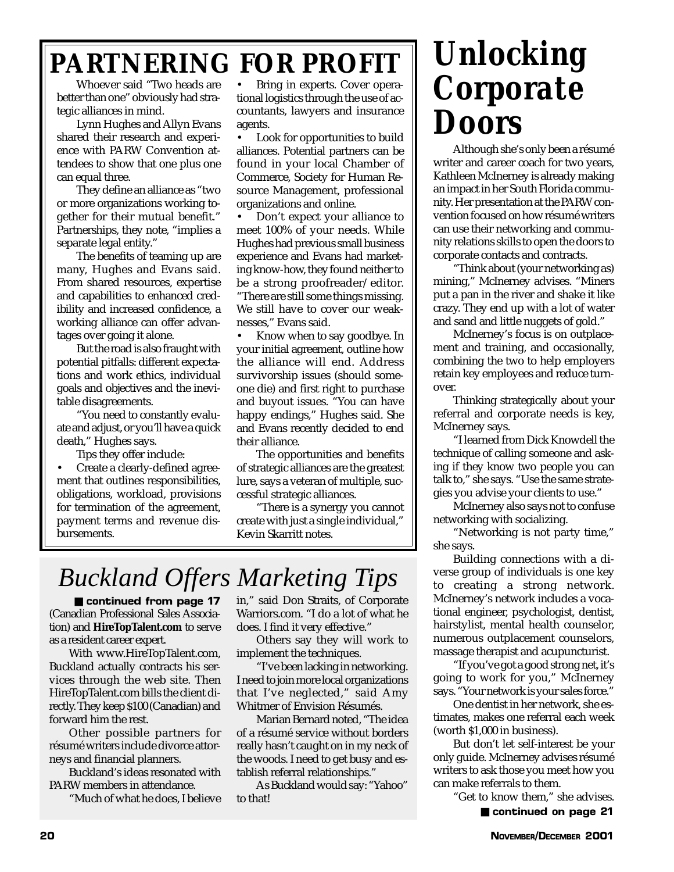## **PARTNERING FOR PROFIT**

Whoever said "Two heads are better than one" obviously had strategic alliances in mind.

Lynn Hughes and Allyn Evans shared their research and experience with PARW Convention attendees to show that one plus one can equal three.

They define an alliance as "two or more organizations working together for their mutual benefit." Partnerships, they note, "implies a separate legal entity."

The benefits of teaming up are many, Hughes and Evans said. From shared resources, expertise and capabilities to enhanced credibility and increased confidence, a working alliance can offer advantages over going it alone.

But the road is also fraught with potential pitfalls: different expectations and work ethics, individual goals and objectives and the inevitable disagreements.

"You need to constantly evaluate and adjust, or you'll have a quick death," Hughes says.

Tips they offer include:

• Create a clearly-defined agreement that outlines responsibilities, obligations, workload, provisions for termination of the agreement, payment terms and revenue disbursements.

• Bring in experts. Cover operational logistics through the use of accountants, lawyers and insurance agents.

Look for opportunities to build alliances. Potential partners can be found in your local Chamber of Commerce, Society for Human Resource Management, professional organizations and online.

• Don't expect your alliance to meet 100% of your needs. While Hughes had previous small business experience and Evans had marketing know-how, they found neither to be a strong proofreader/editor. "There are still some things missing. We still have to cover our weaknesses," Evans said.

• Know when to say goodbye. In your initial agreement, outline how the alliance will end. Address survivorship issues (should someone die) and first right to purchase and buyout issues. "You can have happy endings," Hughes said. She and Evans recently decided to end their alliance.

The opportunities and benefits of strategic alliances are the greatest lure, says a veteran of multiple, successful strategic alliances.

"There is a synergy you cannot create with just a single individual," Kevin Skarritt notes.

## *Buckland Offers Marketing Tips*

(Canadian Professional Sales Association) and **HireTopTalent.com** to serve as a resident career expert. ■ continued from page 17

With www.HireTopTalent.com, Buckland actually contracts his services through the web site. Then HireTopTalent.com bills the client directly. They keep \$100 (Canadian) and forward him the rest.

Other possible partners for résumé writers include divorce attorneys and financial planners.

Buckland's ideas resonated with PARW members in attendance.

"Much of what he does, I believe

in," said Don Straits, of Corporate Warriors.com. "I do a lot of what he does. I find it very effective."

Others say they will work to implement the techniques.

"I've been lacking in networking. I need to join more local organizations that I've neglected," said Amy Whitmer of Envision Résumés.

Marian Bernard noted, "The idea of a résumé service without borders really hasn't caught on in my neck of the woods. I need to get busy and establish referral relationships."

As Buckland would say: "Yahoo" to that!

## *Unlocking Corporate Doors*

Although she's only been a résumé writer and career coach for two years, Kathleen McInerney is already making an impact in her South Florida community. Her presentation at the PARW convention focused on how résumé writers can use their networking and community relations skills to open the doors to corporate contacts and contracts.

"Think about (your networking as) mining," McInerney advises. "Miners put a pan in the river and shake it like crazy. They end up with a lot of water and sand and little nuggets of gold."

McInerney's focus is on outplacement and training, and occasionally, combining the two to help employers retain key employees and reduce turnover.

Thinking strategically about your referral and corporate needs is key, McInerney says.

"I learned from Dick Knowdell the technique of calling someone and asking if they know two people you can talk to," she says. "Use the same strategies you advise your clients to use."

McInerney also says not to confuse networking with socializing.

"Networking is not party time," she says.

Building connections with a diverse group of individuals is one key to creating a strong network. McInerney's network includes a vocational engineer, psychologist, dentist, hairstylist, mental health counselor, numerous outplacement counselors, massage therapist and acupuncturist.

"If you've got a good strong net, it's going to work for you," McInerney says. "Your network is your sales force."

One dentist in her network, she estimates, makes one referral each week (worth \$1,000 in business).

But don't let self-interest be your only guide. McInerney advises résumé writers to ask those you meet how you can make referrals to them.

> "Get to know them," she advises. ■ continued on page 21